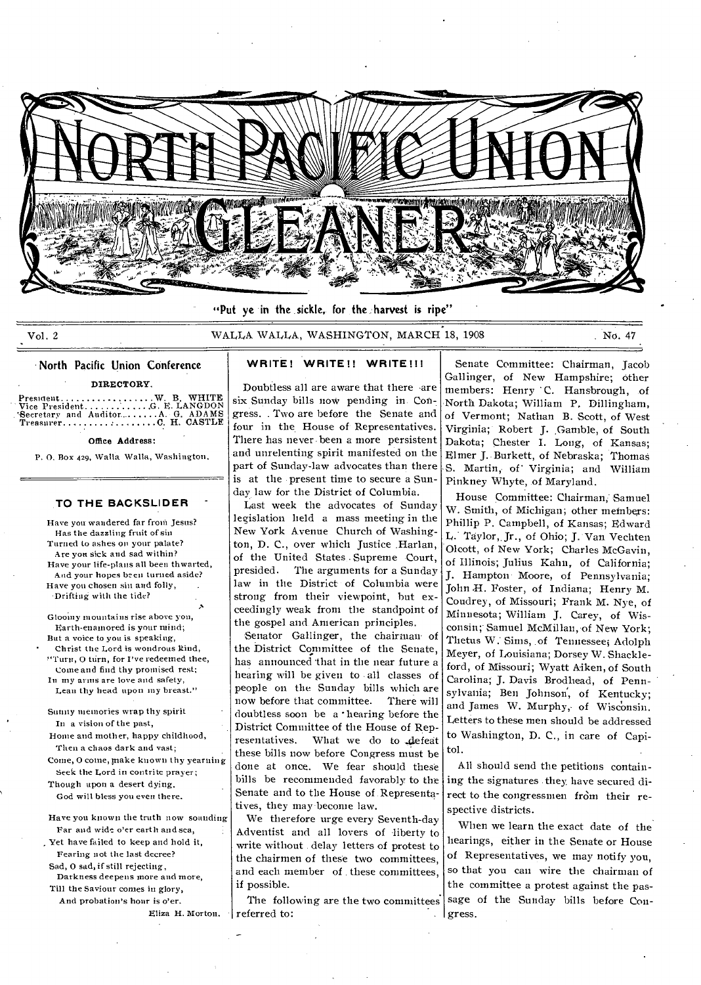

"Put ye in the sickle, for the harvest is ripe"

Vol. 2 WALLA WALLA, WASHINGTON, MARCH 18, 1908 No. 47

•

### • North Pacific Union Conference

DIRECTORY

Presment W. B. WHITE Vice President G. E. LANGDON 'Secretary and Auditor......... A. G. ADAMS Treasurer C H. CASTLE

### Office Address:

P. 0. Box 429, Walla Walla, Washington.

### **TO THE BACKSLIDER**

Have you wandered far from Jesus? Has the dazzling fruit of sin Turned to ashes on your palate? Are you sick and sad within? Have your life-plans all been thwarted, And your hopes been turned aside? Have you chosen sin and folly, . Drifting with the tide?

Gloomy mountains rise above you, Earth-enamored is your mind; But a voice to you is speaking, ' Christ the Lord is wondrous kind, urn, 0 turn, for I've redeemed thee, Come and find thy promised rest; In my arms are love and safety, Lean thy head upon my breast."

Sunny memories wrap thy spirit In a vision of the past,

Home and mother, happy childhood, Then a chaos dark and vast;

Come, 0 come, make known thy yearning Seek the Lord in contrite prayer; Though upon a desert dying,

God will bless you even there.

Have you known the truth now sounding Far and wide o'er earth and sea,

Yet have failed to keep and hold it, Fearing not the last decree? Sad, 0 sad, if still rejecting,

Darkness deepens more and more, 'rill the Saviour comes in glory, And probation's hour is o'er.

Eliza H. Morton.

# **WRITE! WRITE!! WRITE!!!**

Doubtless all are aware that there -are six Sunday bills now pending in. Congress. . Two are before the Senate and four in the House of Representatives. There has never- been a more persistent and unrelenting spirit manifested on the part of Sunday-law advocates than there is at the present time to secure a Sunday law for the District of Columbia.

Last week the advocates of Sunday legislation held a mass meeting in the New York Avenue Church of Washington, D. C., over which Justice Harlan, of the United States Supreme Court,<br>presided. The arguments for a Sundav The arguments for a Sunday law in the District of Columbia were strong from their viewpoint, but exceedingly weak front the standpoint of the gospel and American principles.

Senator Gallinger, the chairman- of the District Committee of the Senate, has announced that in the near future a hearing will be given to all classes of people on the Sunday bills which are<br>now before that committee. There will now before that committee. doubtless soon be a •hearing before the District Committee of the House of Representatives. What we do to defeat these bills now before Congress must be done at once. We fear should these bills be recommended favorably to the Senate and to the House of Representatives, they may become law.

We therefore urge every Seventh-day Adventist and all lovers of liberty to write without delay letters of protest to the chairmen of these two committees, and each member of these committees, if possible.

The following are the two committees referred to:

Senate Committee: Chairman, Jacob Gallinger, of New Hampshire; other members: Henry C. Hansbrough, of North Dakota; William P. Dillingham, of Vermont; Nathan B. Scott, of West Virginia; Robert J. Gamble, of South Dakota; Chester I. Long, of Kansas; Elmer J. Burkett, of Nebraska; Thomas S. Martin, of Virginia; and William Pinkney Whyte, of Maryland.

House Committee: Chairman, Samuel W. Smith, of Michigan; other members: Phillip P. Campbell, of Kansas; Edward L. Taylor,. Jr., of Ohio; J. Van Vechten Olcott, of New York; Charles McGavin, of Illinois; Julius Kahn, of California; J. Hampton Moore, of Pennsylvania; John H. Foster, of Indiana; Henry M. Coudrey, of Missouri; Frank M. Nye, of Minnesota; William J. Carey, of Wisconsin; Samuel McMillan, of New York; Thetus W: Sims, of Tennesseei Adolph Meyer, of Louisiana; Dorsey W. Shackleford, of Missouri; Wyatt Aiken, of South Carolina; J. Davis Brodhead, of Pennsylvania; Ben Johnson, of Kentucky; and James W. Murphy, of Wisconsin. Letters to these men should be addressed to Washington, D. C., in care of Capitol.

All should send the petitions containing the signatures they have secured direct to the congressmen from their respective districts.

When we learn the exact date of the hearings, either in the Senate or House of Representatives, we may notify you, so that you can wire the chairman of the committee a protest against the passage of the Sunday bills before Congress.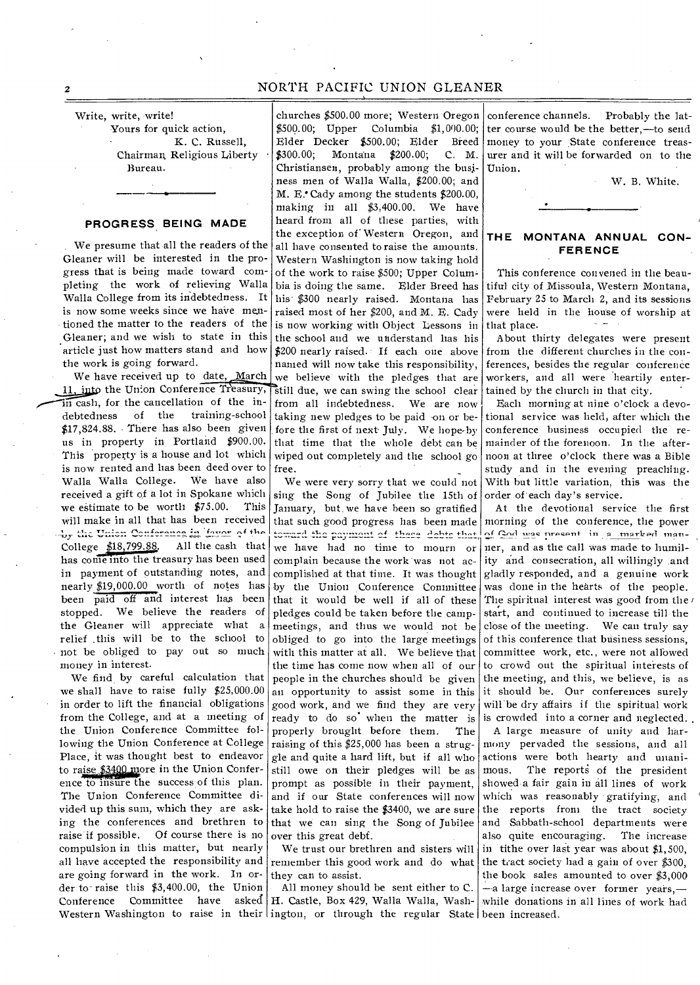# 2 NORTH PACIFIC UNION GLEANER

Write, write, write!

Yours for quick action, K. C. Russell, Chairman, Religious Liberty Bureau.

## **PROGRESS.BEING MADE**

We presume that all the readers of the Gleaner will be interested in the progress that is being made toward completing the work of relieving Walla Walla College from its indebtedness. It is now some weeks since we have mentioned the matter to the readers of the Gleaner; and we wish to state in this article just how matters stand and how the work is going forward.

We have received up to date, March 11, into the Union Conference Treasury,  $\overline{\text{in}}$  cash, for the cancellation of the in-<br>debtedness of the training-school training-school \$17,824.88. There has also been given us in property in Portland \$900.00. This property is a house and lot which is now rented and has been deed over to Walla Walla College. We have also received a gift of a lot in Spokane which<br>we estimate to be worth \$75.00. This we estimate to be worth  $$75.00$ . will make in all that has been received ry the Union Conference in favor of the College  $$18,799.88$ . All the cash that has come into the treasury has been used in payment of outstanding notes, and nearly \$19,000.00 worth of notes has been paid off and interest has been stopped. We believe the readers of the Gleaner will appreciate what a relief .this will be to the school to not be obliged to pay out so much money in interest.

We find by careful calculation that we shall have to raise fully \$25,000.00 in order to lift the financial obligations from the College, and at a meeting of the Union Conference Committee following the Union Conference at College Place, it was thought best to endeavor to raise \$3400 more in the Union Conference to insure the success of this plan. The Union Conference Committee divided up this sum, which they are asking the conferences and brethren to raise if possible. Of course there is no compulsion in this matter, but nearly all have accepted the responsibility and are going forward in the work. In order to raise this \$3,400.00, the Union<br>Conference Committee have asked Committee have

churches \$500.00 more; Western Oregon \$500.00; Upper Columbia \$1,000.00; Elder Decker \$500.00; Elder Breed \$300.00; Montana \$200.00; C. M. Christiansen, probably among the busjness men of Walla Walla, \$200.00; and M. E. Cady among the students \$200.00, making in all \$3,400.00. We have heard from all of these parties, with the exception of Western Oregon, and all have consented to raise the amounts. Western Washington is now taking hold of the work to raise \$500; Upper Coluni bia is doing the same. Elder Breed has his' \$300 nearly raised. Montana has raised most of her \$200, and M. E. Cady is now working with Object Lessons in the school and we understand has his \$200 nearly raised. If each one above named will now take tins responsibility, we believe with the pledges that are still due, we can swing the school clear from all indebtedness. We are now taking new pledges to be paid -on or before the first of next July. We hope-by that time that the whole debt can be wiped out completely and the school go free.

We were very sorry that we could not sing the Song of Jubilee the 15th of January, but. we have been so gratified that such good progress has been made<br>toward the payment of these debts that, we have had no time to mourn or complain because the work was not accomplished at that time. It was thought by the Union Conference Connnittee that it would be well if all of these pledges could be taken before the campmeetings, and thus we would not be obliged to go into the large meetings with this matter at all. We believe that the time has come now when all of our people in the churches should be given an opportunity to assist some in this good work, and we find they are very ready to do so when the matter is is crowded into a corner and neglected. properly brought before them. The raising of this \$25,000 has been a struggle and quite a hard lift, but if all who still owe on their pledges will be as prompt as possible in their payment, and if our State conferences will now take hold to raise the \$3400, we are sure that we can sing the Song of Jubilee over this great debt.

We trust our brethren and sisters will remember this good work and do what they can to assist.

Western Washington to raise in their ington, or through the regular State been increased. All money should be sent either to C. H. Castle, Box 429, Walla Walla, Wash-

conference channels. Probably the latter course would be the better,—to send money to your State conference treasurer and it will be forwarded on to the Union.

W. B. White.

# THE MONTANA ANNUAL CON-**FERENCE**

This conference convened in the beautiful city of Missoula, Western Montana, February 25 to March 2, and its sessions were held in the house of worship at that place.  $\blacksquare$ 

About thirty delegates were present from the different churches in the conferences, besides the regular conference workers, and all were heartily entertained by the church in that city.

Each morning at nine o'clock a devotional service was held, after which the conference business occupied the remainder of the forenoon. In the afternoon at three o'clock there was a Bible study and in the evening preaching. 'With but little variation, this was the order of each day's service.

At the devotional service the first morning of the conference, the power of God was present in a marked manner, and as the call was made to humility and consecration, all willingly and gladly responded, and a genuine work was done in the hearts of the people. The spiritual interest was good from the start, and continued to increase till the close of the meeting. We can truly say of this conference that business sessions, committee work, etc., were not allowed to crowd out the spiritual interests of the meeting, and this, we believe, is as it should be. Our conferences surely will be dry affairs if the spiritual work

A large measure of unity and harmony pervaded the sessions, and all actions were both hearty and unani-<br>mous. The reports of the president The reports of the president showed a fair gain in all lines of work which was reasonably gratifying, and the reports from the tract society and Sabbath-school departments were<br>also quite encouraging. The increase also quite encouraging. in tithe over last year was about \$1,500, the tract society had a gain of over \$300, the book sales amounted to over \$3,000 -- a large increase over former years,while donations in all lines of work had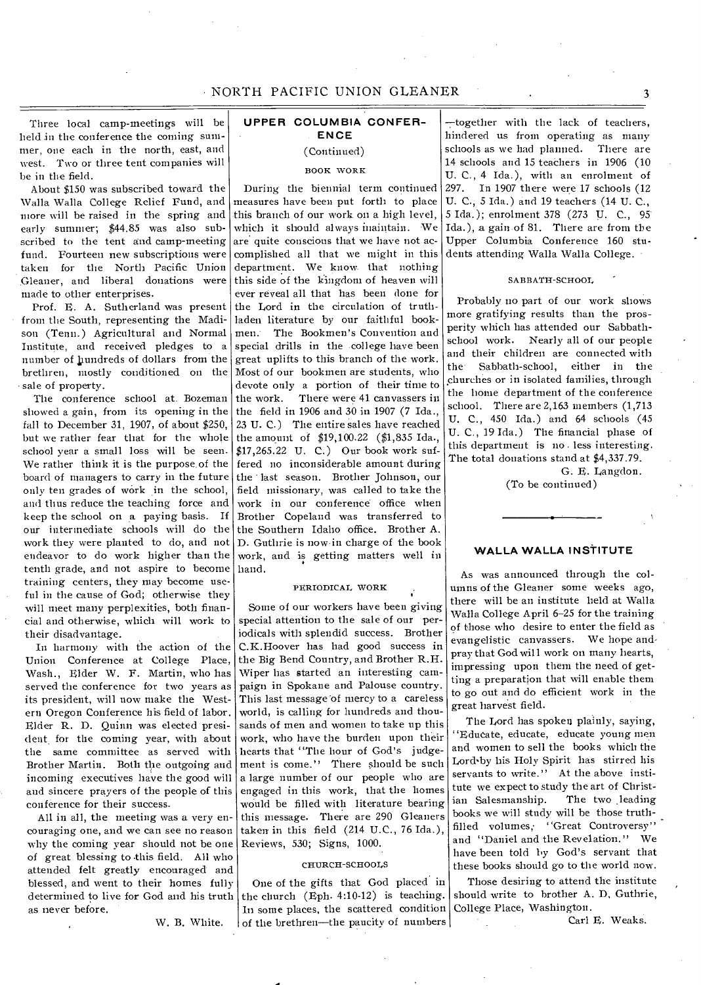Three local camp-meetings will be held in the conference the coming summer, one each in the north, east, and west. Two or three tent companies will be in the field.

About \$150 was subscribed toward the Walla Walla College Relief Fund, and more will be raised in the spring and early summer; \$44.85 was also subscribed to the tent and camp-meeting fund. Fourteen new subscriptions were taken for the North Pacific Union Gleaner, and liberal donations were made to other enterprises.

Prof. E. A. Sutherland was present from the South, representing the Madison (Tenn.) Agricultural and Normal Institute, and received pledges to a number of hundreds of dollars from the brethren, mostly conditioned on the sale of property.

The conference school at. Bozeman showed a gain, from its opening in the fall to December 31, 1907, of about \$250, but we rather fear that for the whole school year a small loss will be seen. We rather think it is the purpose, of the board of managers to carry in the future only ten grades of work in the school, and thus reduce the teaching force and keep the school on a paying basis. If our intermediate schools will do the work they were planted to do, and not endeavor to do work higher than the tenth grade, and not aspire to become training centers, they may become useful in the cause of God; otherwise they will meet many perplexities, both financial and otherwise, which will work to their disadvantage.

In harmony with the action of the Union Conference at College Place, Wash., Elder W. F. Martin, who has served the conference for two years as its president, will now make the Western Oregon Conference his field of labor. Elder R. D. Quinn was elected president, for the coming year, with about the same committee as served with Brother Martin. Both the outgoing and incoming executives have the good will and sincere prayers of the people of this conference for their success.

All in all, the meeting was a very encouraging one, and we can see no reason why the coming year should not be one of great blessing to this field. All who attended felt greatly encouraged and blessed, and went to their homes fully determined to live for God and his truth as never before.

W. B. White.

# **UPPER COLUMBIA CONFER-ENCE**

# (Continued)

## BOOK WORK

During the biennial term continued measures have been put forth to place this branch of our work on a high level, which it should always inaintain. We are quite conscious that we have not accomplished all that we might in this department. We know that nothing this side of the kingdom of heaven will ever reveal all that has been done for the Lord in the circulation of truthladen literature by our faithful bookmen: The Bookmen's Convention and special drills in the college have been great uplifts to this branch of the work. Most of our bookmen are students, who devote only a portion of their time to<br>the work. There were 41 canvassers in There were 41 canvassers in the field in 1906 and 30 in 1907 (7 Ida., 23 U. C.) The entire sales have reached the amount of \$19,100.22 (\$1,835 Ida., \$17,265.22 U. C.) Our book work suffered no inconsiderable amount during the last season. Brother Johnson, our field missionary, was called to take the work in our conference office when Brother Copeland was transferred to the Southern Idaho office. Brother A. D. Guthrie is now in charge of the book work, and is getting matters well in hand.

### PERIODICAL WORK

Some of our workers have been giving special attention to the sale of our periodicals with splendid success. Brother C.K.Hoover has had good success in the Big Bend Country, and Brother R.H. Wiper has started an interesting campaign in Spokane and Palouse country. This last message 'of mercy to a careless world, is calling for hundreds and thousands of men and women to take up this work, who have the burden upon their hearts that "The hour of God's judgement is come." There should be such a large number of our people who are engaged in this work, that the homes would be filled with literature bearing this message. There are 290 Gleaners taken in this field (214 U.C., 76 Ida.), Reviews, 530; Signs, 1000.

### CHURCH-SCHOOLS

One of the gifts that God placed in the church (Eph. 4:10-12) is teaching. In some places, the scattered condition of the brethren—the paucity of numbers

—together with the lack of teachers, hindered us from operating as many schools as we had planned. There are 14 schools and 15 teachers in 1906 (10 U. C., 4 Ida.), with an enrolment of 297. In 1907 there were 17 schools (12 U. C., 5 Ida.) and 19 teachers (14 U. C., 5 Ida.); enrolment 378 (273 U. C., 95' Ida.), a gain of 81. There are from the Upper Columbia Conference 160 students attending Walla Walla College.

### SABBATH-SCHOOL

Probably no part of our work shows more gratifying results than the prosperity which has attended our Sabbathschool work. Nearly all of our people and their children are connected with the' Sabbath-school, either in the churches or in isolated families, through the home department of the conference school. There are 2,163 members (1,713 U. C., 450 Ida.) and 64 schools (45 U. C., 19 Ida.) The financial phase of this department is no less interesting. The total donations stand at \$4,337.79.

> G. E. Langdon. (To be continued)

# **WALLA WALLA INSTITUTE**

As was announced through the columns of the Gleaner some weeks ago, there will be an institute held at Walla Walla College April 6-25 for the training of those who desire to enter the field as evangelistic canvassers. We hope andpray that God will work on many hearts, impressing upon them the need of getting a preparation that will enable them to go out and do efficient work in the great harvest field.

The Lord has spoken plainly, saying, "Educate, educate, educate young men and women to sell the books which the Lord'by his Holy Spirit has stirred his servants to write." At the above institute we expect to study the art of Christian Salesmanship. The two leading books we will study will be those truthfilled volumes, "Great Controversy" and "Daniel and the Revelation." We have been told by God's servant that these books should go to the world now.

Those desiring to attend the institute should write to brother A. D, Guthrie, College Place, Washington.

Carl E. Weaks.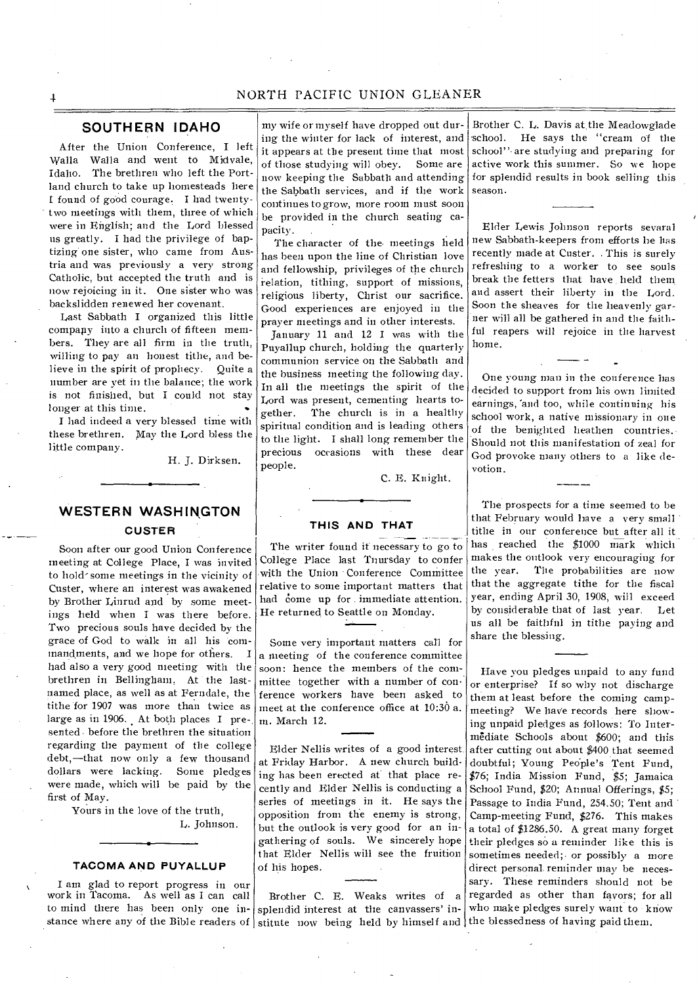# NORTH PACIFIC UNION GLEANER

# **SOUTHERN IDAHO**

After the Union Conference, I left Walla Walla and went to Midvale, Idaho. The brethren who left the Portland church to take up homesteads here I found of good courage. I had twentytwo meetings with them, three of which were in English; and the Lord blessed us greatly. I had the privilege of baptizing one sister, who came from Austria and was previously a very strong Catholic, but accepted the truth and is now rejoicing in it. One sister who was backslidden renewed her covenant.

Last Sabbath I organized this little company into a church of fifteen members. They are all firm in the truth, willing to pay an honest tithe, and believe in the spirit of prophecy. Quite a number are yet in the balance; the work is not finished, but I could not stay longer at this time.

I had indeed a very blessed time with these brethren. May the Lord bless the little company.

H. J. Dirksen.

# **WESTERN WASHINGTON CUSTER**

Soon after our good Union Conference meeting at College Place, I was invited to hold-some meetings in the vicinity of Custer, where an interest was awakened by Brother Linrud and by some meetings held when I was there before. Two precious souls have decided by the grace of God to walk in all his commandments, and we hope for others. I had also a very good meeting with the brethren in Bellingham. At the lastnamed place, as well as at Ferndale, the tithe for 1907 was more than twice as large as in 1906. At both places I presented - before the brethren the situation regarding the payment of the college debt,—that now only a few thousand dollars were lacking. Some pledges were made, which will be paid by the first of May.

> Yours in the love of the truth, L. Johnson.

### **TACOMA AND PUYALLUP**

I am glad to report progress in our work in Tacoma. As well as I can call

my wife or myself have dropped out during the winter for lack of interest, and it appears at the present time that most of those studying will obey. Some are now keeping the Sabbath and attending the Sabbath services, and if the work continues to grow, more room must soon be provided in the church seating capacity.

The character of the meetings held has been upon the line of Christian love and fellowship, privileges of the church relation, tithing, support of missions, religious liberty, Christ our sacrifice. Good experiences are enjoyed in the prayer meetings and in other interests.

January 11 and 12 I was with the Puyallup church, holding the quarterly communion service on the Sabbath and the business meeting the following day. In all the meetings the spirit of the Lord was present, cementing hearts together. The church is in a healthy spiritual condition and is leading others to the light. I shall long remember the precious occasions with these dear people.

C. E. Knight.

### **THIS AND THAT**

The writer found it necessary to go to College Place last Tnursday to confer with the Union Conference Committee relative to some important matters that had come up for immediate attention. He returned to Seattle on Monday.

Some very important matters call for a meeting of the conference committee soon: hence the members of the committee together with a number of conference workers have been asked to meet at the conference office at 10:36 a. m. March 12.

Elder Nellis writes of a good interest at Friday Harbor. A new church building has been erected at that place recently and Elder Nellis is conducting a series of meetings in it. He says the opposition from the enemy is strong, but the outlook is very good for an ingathering of souls. We sincerely hope that Elder Nellis will see the fruition of his hopes.

to mind there has been only one in- splendid interest at the canvassers' instance where any of the Bible readers of stitute now being held by himself and the blessedness of having paid them. Brother C. H. Weaks writes of a

Brother C. L. Davis at,the Meadowglade school. He says the "cream of the school" are studying and preparing for active work this summer. So we hope for splendid results in book selling this season.

Elder Lewis Johnson reports sevaral new Sabbath-keepers from efforts he has recently made at Custer. . This is surely refreshing to a worker to see souls break the fetters that have held them and assert their liberty in the Lord. Soon the sheaves for the heavenly garner will all be gathered in and the faithful reapers will rejoice in the harvest home.

One young man in the conference has decided to support from his own limited earnings, 'and too, while continuing his school work, a native missionary in one of the benighted heathen countries. Should not this manifestation of zeal for God provoke many others to a like devotion.

The prospects for a time seemed to be that February would have a very small tithe in our conference but after all it has reached the \$1000 mark which makes the outlook very encouraging for the year. The probabilities are now that the aggregate tithe for the fiscal year, ending April 30, 1908, will exceed by considerable that of last year. Let us all be faithfnl in tithe paying and share the blessing.

Have you pledges unpaid to any fund or enterprise? If so why not discharge them at least before the coming campmeeting? We have records here showing unpaid pledges as follows: To Intermediate Schools about \$600; and this after cutting out about \$400 that seemed doubtful; Young People's Tent Fund, \$76; India Mission Fund, \$5; Jamaica School Fund, \$20; Annual Offerings, \$5; Passage to India Fund, 254.50; Tent and Camp-meeting Fund, \$276. This makes a total of \$1286.50. A great many forget their pledges so a reminder like this is sometimes needed;- or possibly a more direct personal, reminder may be necessary. These reminders should not be regarded as other than favors; for all who make pledges surely want to know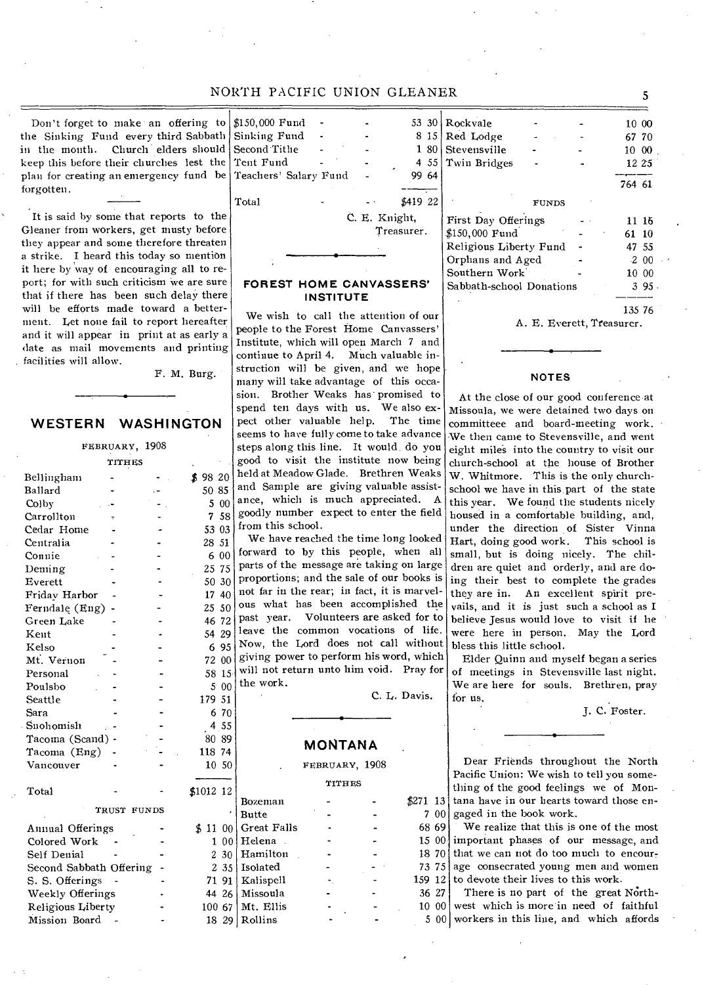# NORTH PACIFIC UNION GLEANER 5

Don't forget to make an offering to  $\frac{150,000 \text{ Fund}}{150,000 \text{ Fund}}$  . 53 30 the Sinking Fund every third Sabbath Sinking Fund . . . 8 15 in the month. Church elders should Second Tithe - 1 80 keep this before their churches lest the plan for creating an emergency fund be Teachers' Salary Fund - 99 64 forgotten.

It is said by some that reports to the Gleaner from workers, get musty before they appear and some therefore threaten a strike. I heard this today so mention it here by way of encouraging all to report; for with such criticism we are sure that if there has been such delay there will be efforts made toward a betterment. Let none fail to report hereafter and it will appear in print at as early a date as mail movements and printing . facilities will allow.

F. M. Burg.

# **WESTERN WASHINGTON**

FEBRUARY, 1908 TITHES Bellingham  $-$  \$ 98 20 Ballard - 50 85<br>Colby - 500 Colby Carrollton Cedar Home - - - 53 03<br>Centralia - - - 28 51 Centralia  $\begin{bmatrix} 28 & 51 \\ \text{Connie} \end{bmatrix}$ Connie - - - 6 00<br>Deming - - - 25 75 Deming - - 25 75<br>Everett - - 50 30 Everett -  $\begin{bmatrix} -1 & -1 & -1 \\ -1 & -1 & -1 \\ 1 & 4 & -1 \end{bmatrix}$ Friday Harbor Ferndale (Eng) - 25 50<br>
Green Lake - 26 72 Green Lake<br>Kent 54 29 Kelso -  $695$ <br> $7200$ Mt. Vernon Personal - - 58 15<br>Poulsho - - 5 00 Poulsbo - - - 5 00<br>Seattle - - 179 51 Seattle Sara - - 6 70 Snohomish - 4 55<br>Tacoma (Scand) - - 80 89 Tacoma (Scand) - 20089<br>Tacoma (Eng) - 2008 - 118 74 Tacoma (Eng) - 118 74<br>Vancouver - - 10 50 Vancouver Total  $\overline{\qquad -12121212}$ TRUST FUNDS<br>ings - \$ Annual Offerings Colored Work Self Denial Second Sabbath Offering S. S. Offerings -Weekly Offerings Religious Liberty

Mission Board -

Tent Fund - 4 55<br>
Teachers' Salary Fund - 99 64 Total - - \$419 22

C. E. Knight, Treasurer. Rockvale 10 00 Red Lodge - - - - 67 70 Stevensville - - 10 00<br>Twin Bridges - - 12 25 Twin Bridges 764 61 FUNDS First Day Offerings 11 16 \$150,000 Fund - 61 10<br>Religious Liberty Fund - 47 55 Religious Liberty Fund Orphans and Aged  $\sim$  2 00 Southern Work 10 00<br>
Sabbath-school Donations 3 95. Sabbath-school Donations

## **FOREST HOME CANVASSERS' INSTITUTE**

We wish to call the attention of our people to the Forest Home Canvassers' Institute, which will open March 7 and continue to April 4. Much valuable instruction will be given, and we hope many will take advantage of this occasion. Brother Weaks has promised to spend ten days with us. We also expect other valuable help. The time seems to have fully come to take advance steps along this line. It would do you good to visit the institute now being held at Meadow Glade. Brethren Weaks and Sample are giving valuable assistance, which is much appreciated. A 7 58 goodly number expect to enter the field  $5303$  from this school.

We have reached the time long looked forward to by this people, when all parts of the message are taking on large proportions; and the sale of our hooks is not far in the rear; in fact, it is marvelous what has been accomplished the past year. Volunteers are asked for to leave the common vocations of life. Now, the Lord does not call without giving power to perform his word, which will not return unto him void. Pray for the work.

C. L. Davis.

# **MONTANA**

FEBRUARY, 1908

TITHES

| .012–12– |       |              |  |     |
|----------|-------|--------------|--|-----|
|          |       | Bozeman      |  |     |
|          | ٠     | <b>Butte</b> |  |     |
| 5. 11 .  | -00   | Great Falls  |  | 68  |
| 1        | 00    | Helena       |  | 15  |
|          | 2,30  | Hamilton     |  | 18  |
|          | 2 3 5 | Isolated     |  | 73  |
|          | 71 91 | Kalispell    |  | 159 |
|          | 44 26 | Missoula     |  | 36  |
| 100 67   |       | Mt. Ellis    |  | 10  |
| 18       | 29    | Rollins      |  |     |
|          |       |              |  |     |

A. E. Everett, Treasurer.

## **NOTES**

At the close of our good conference at Missoula, we were detained two days on committeee and board-meeting work. We then came to Stevensville, and went eight miles into the country to visit our church-school at the house of Brother W. Whitmore. This is the only churchschool we have in this.part of the state this year. We found the students nicely housed in a comfortable building, and, under the direction of Sister Vinna Hart, doing good work. This school is small, but is doing nicely. The children are quiet and orderly, and are doing their best to complete the grades they are in. An excellent spirit prevails, and it is just such a school as I believe Jesus would love to visit if he were here in person. May the Lord bless this little school.

Elder Quinn and myself began a series of meetings in Stevensville last night. We are here for souls. Brethren, pray for us.

J. C. Foster.

\$271 13 tana have in our hearts toward those en- $700$  gaged in the book work. Dear Friends throughout the North Pacific Union: We wish to tell you something of the good feelings we of Mon-

69 | 15 00 important phases of our message, and 18 70 that we can not do too much to encour-73 75 age consecrated young men and women 159  $12$  to devote their lives to this work. We realize that this is one of the most

 $27$ 10 00 west which is more in need of faithful 5 00 workers in this line, and which affords There is no part of the great North-

135 76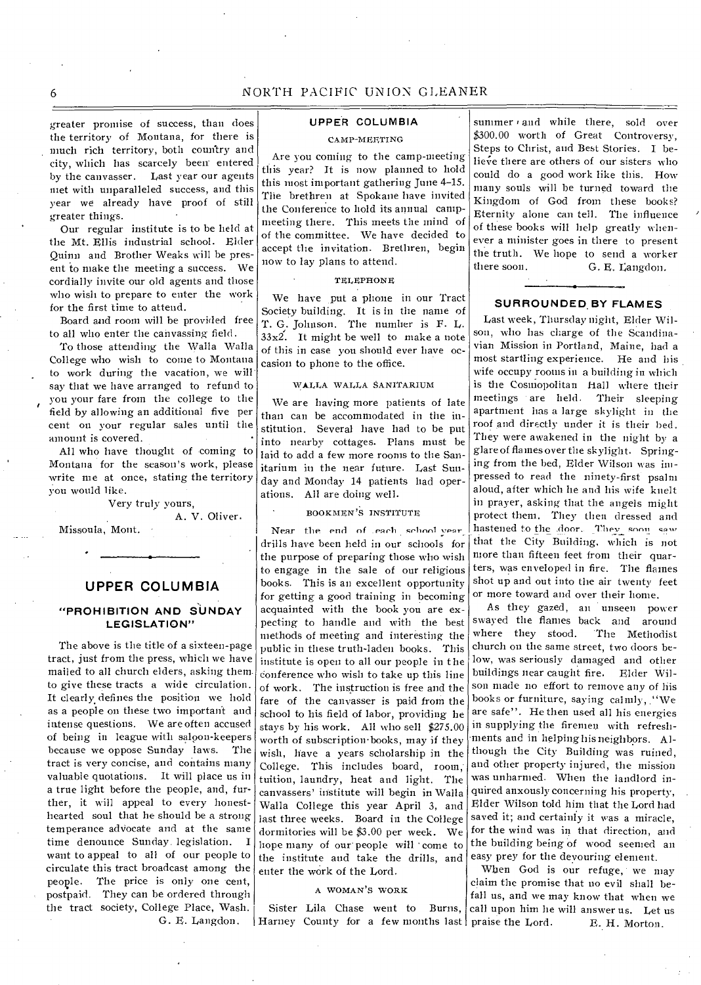greater promise of success, than does the territory of Montana, for there is much rich territory, both country and city, which has scarcely been entered by the canvasser. Last year our agents met with unparalleled success, and this year we already have proof of still greater things.

Our regular institute is to be held at the Mt. Ellis industrial school. Elder Quinn and Brother Weaks will be present to make the meeting a success. We cordially invite our old agents and those who wish to prepare to enter the work for the first time to attend.

Board and room will be provided free to all who enter the canvassing field.

To those attending the Walla Walla College who wish to come to Montana to work during the vacation, we will say that we have arranged to refund to you your fare from the college to the field by allowing an additional five per cent on your regular sales until the amount is covered. •

All who have thought of coming to Montana for the season's work, please write me at once, stating the territory you would like.

### Very truly yours,

A. V. Oliver.

Missoula, Mont.

# **UPPER COLUMBIA**

## **"PROHIBITION AND SUNDAY LEGISLATION"**

The above is the title of a sixteen-page tract, just from the press, which we have mailed to all church elders, asking themto give these tracts a wide circulation. It clearly defines the position we hold as a people on these two important and intense questions. We are often accused of being in league with saloon-keepers because we oppose Sunday laws. The tract is very concise, and contains many valuable quotations. It will place us in a true light before the people, and, further, it will appeal to every honesthearted soul that he should be a strong temperance advocate and at the same time denounce Sunday. legislation. I want to appeal to all of our people to circulate this tract broadcast among the people. The price is only one cent, postpaid. They can be ordered through the tract society, College Place, Wash. G. E. Langdon.

# **UPPER COLUMBIA**  CAMP-MEETING

Are you coming to the camp-meeting this year? It is now planned to hold this most important gathering June 4-15. The brethren at Spokane have invited the Conference to hold its annual campmeeting there. This meets the mind of of the committee. We have decided to accept the invitation. Brethren, begin now to lay plans to attend.

### TELEPHONE

We have put a phone in our Tract Society building. It is in the name of T. G. Johnson. The number is F. L.  $33x^{2}$ . It might be well to make a note of this in case you should ever have occasion to phone to the office.

### WALLA WALLA SANITARIUM

We are having more patients of late than can be accommodated in the institution. Several have had to be put into nearby cottages. Plans must be laid to add a few more rooms to the Sanitarium in the near future. Last Sunday and Monday 14 patients had operations. All are doing well.

### BOOKMEN'S INSTITUTE

Near the end of each school vear drills have been held in our schools for the purpose of preparing those who wish to engage in the sale of our religious books. This is an excellent opportunity for getting a good training in becoming acquainted with the book you are expecting to handle and with the best methods of meeting and interesting the public in these truth-laden books. This institute is open to all our people in the Conference who wish to take up this line of work. The instruction is free and the fare of the canvasser is paid from the school to his field of labor, providing he stays by his work. All who sell \$275.00 worth of subscription•books, may if they wish, have a years scholarship in the College. This includes board, room: tuition, laundry, heat and light. The canvassers' institute will begin in Walla Walla College this year April 3, and last three weeks. Board in the College dormitories will be \$3.00 per week. We hope many of our peoplewill 'come to the institute and take the drills, and enter the work of the Lord.

### A WOMAN'S WORK

Sister Lila Chase went to Burns, Harney County for a few months last praise the Lord.

summer and while there, sold over \$300.00 worth of Great Controversy, Steps to Christ, and Best Stories. I believe there are others of our sisters who could do a good work like this. How many souls will be turned toward the Kingdom of God from these books? Eternity alone can tell. The influence of these hooks will help greatly whenever a minister goes in there to present the truth. We hope to send a worker there soon. G. E. Langdon.

### **SURROUNDED.BY FLAMES**

Last week, Thursday night, Elder Wilson, who has charge of the Scandinavian Mission in Portland, Maine, had a most startling experience. He and his wife occupy rooms in a building in which is the Cosmopolitan Hall where their meetings are held. Their sleeping apartment has a large skylight in the roof and directly under it is their bed. They were awakened in the night by a glare of flames over the skylight. Springing from the bed, Elder Wilson was impressed to read the ninety-first psalm aloud, after which he and Ins wife knelt in prayer, asking that the angels might protect them. They then dressed and hastened to the .door. They soon saw that the City Building, which is not more than fifteen feet from their quarters, was enveloped in fire. The flames shot up and out into the air twenty feet or more toward and over their home.

As they gazed, an unseen power swayed the flames back and around where they stood. 'The Methodist church on the same street, two doors below, was seriously damaged and other buildings near caught fire. Elder Wilson made no effort to remove any of his books or furniture, saying calmly, ."We are safe". He then used all his energies in supplying the firemen with refreshments and in helping his neighbors. Although the City Building was ruined, and other property injured, the mission was unharmed. When the landlord inquired anxously concerning his property, . Elder Wilson told him that the Lord had saved it; and certainly it was a miracle. for the wind was in that direction, and the building being of wood seemed an easy prey for the devouring element.

When God is our refuge, we may claim the promise that no evil shall befall us, and we may know that when we call upon him he will answer us. Let us E. H. Morton.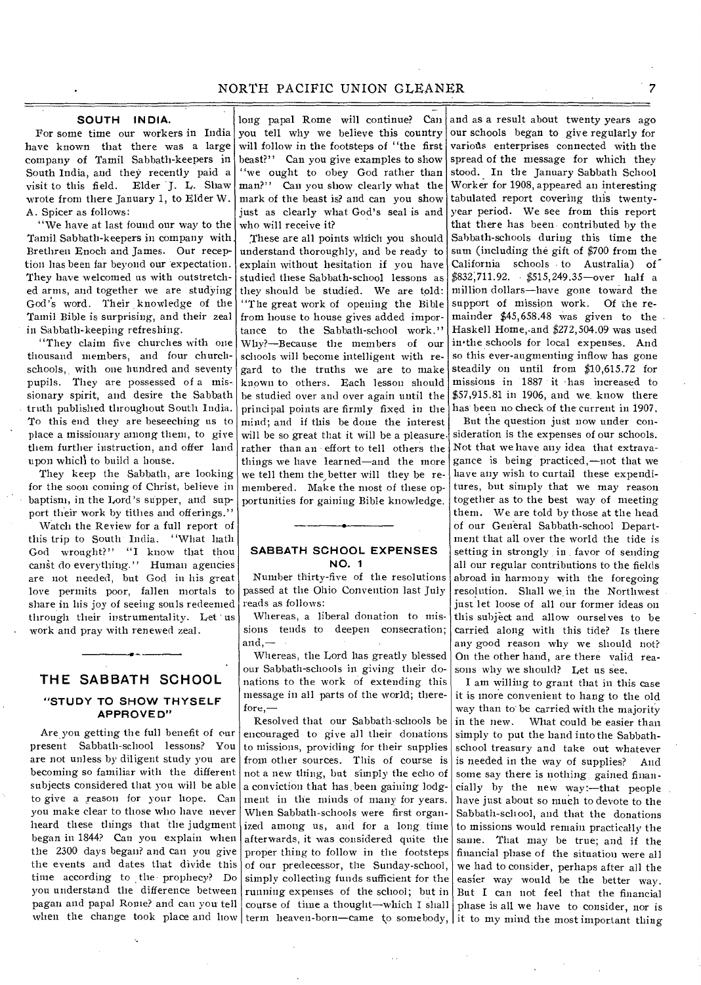## **SOUTH INDIA.**

For some time our workers in India have known that there was a large company of Tamil Sabbath-keepers in South India, and they recently paid a visit to this field. Elder J. L. Shaw wrote from there January 1, to Elder W. A. Spicer as follows:

"We have at last found our way to the Tamil. Sabbath-keepers in company with. Brethren Enoch and James. Our reception has been far beyond our expectation. They have welcomed us with outstretched arms, and together we are studying God's word. Their knowledge of the Tamil Bible is surprising, and their zeal in Sabbath-keeping refreshing.

"They claim five churches with one thousand members, and four church schools, with one hundred and seventy pupils. They are possessed of a mis-. sionary spirit, and desire the Sabbath truth published throughout South India. To this end they are beseeching us to place a missionary among them, to give them further instruction, and offer land upon which to build a house.

They keep the Sabbath, are looking for the soon coming of Christ, believe in baptism, in the Lord's supper, and support their work by tithes and offerings."

Watch the Review for a full report of this trip to South India. "What hath God wrought?" "I know that thou canst do everything." Human agencies are not needed, but God in his great love permits poor, fallen mortals to share in his joy of seeing souls redeemed through their instrumentality. Let us work and pray with renewed zeal.

# **THE SABBATH SCHOOL**

## **"STUDY TO SHOW THYSELF APPROVED"**

Are you getting the full benefit of our present Sabbath-school lessons? You are not unless by diligent study you are becoming so familiar with the different subjects considered that you will be able to give a reason for your hope. Can you make clear to those who have never heard these things that the judgment began in 1844? Can you explain when the 2300 days began? and can you give the events and dates that divide this time according to the. prophecy? Do you understand the difference between pagan and papal Rome? and can you' tell when the change took place and how  $|\text{term}$  heaven-born—came to somebody,

long papal Rome will continue? Can you tell why we believe this country will follow in the footsteps of "the first beast?" Can you give examples to show "we ought to obey God rather than man?" Can you show clearly what the mark of the beast is? and can you show just as clearly what God's seal is and who will receive it?

These are all points which you should understand thoroughly, and be ready to explain without hesitation if you have studied these Sabbath-school lessons as they should be studied. We are told: "The great work of opening the Bible from house to house gives added importance to the Sabbath-school work." Why?—Because the members of our schools will become intelligent with regard to the truths we are to make known to others. Each lesson should be studied over and over again until the principal points are firmly fixed in the mind; and if this be done the interest will be so great that it will be a pleasure. rather than an effort to tell others the things we have learned—and the more we tell them the better will they be remembered. Make the most of these opportunities for gaining Bible knowledge.

## **SABBATH SCHOOL EXPENSES NO. 1**

Number thirty-five of the resolutions passed at the Ohio Convention last July reads as follows:

Whereas, a liberal donation to missions tends to deepen consecration; and,—

Whereas, the Lord has greatly blessed our Sabbath-schools in giving their donations to the work of extending this message in all parts of the world; therefore,—

Resolved that our Sabbath-schools be encouraged to give all their donations to missions, providing for their supplies from other sources. This of course is not a new thing, but simply the echo of a conviction that has. been gaining lodgment in the minds of many for years. When Sabbath-schools were first organized among us, and for a long time afterwards, it was considered quite the proper thing to follow in the footsteps of our predecessor, the Sunday-school, simply collecting funds sufficient for the running expenses of the school; but in course of time a thought—which I shall

and as a result about twenty years ago our schools began to give regularly for various enterprises connected with the spread of the message for which they stood. In the January Sabbath School Worker for 1908, appeared an interesting tabulated report covering this twentyyear period. We see from this report that there has been contributed by the Sabbath-schools during this time the sum (including the gift of \$700 from the California schools to Australia) of \$832,711.92. \$515,249.35—over half a million dollars—have gone toward the support of mission work. Of the remainder \$45,658.48 was given to the Haskell Home,-and \$272,504.09 was used in'the schools for local expenses. And so this ever-augmenting inflow has gone steadily on until from \$10,615.72 for missions in 1887 it -has increased to \$57,915.81 in 1906, and we. know there has been no check of the current in 1907.

But the question just now under consideration is the expenses of our schools. Not that we have any idea that extravagance is being practiced,—not that we have any wish to curtail these expenditures, but simply that we may reason together as to the best way of meeting them. We are told by those at the head of our General Sabbath-school Department that all over the world the tide is setting in strongly in favor of sending all our regular contributions to the fields abroad in harmony with the foregoing resolution. Shall we in the Northwest just let loose of all our former ideas on this subject and allow ourselves to be carried along with this tide? Is there any good reason why we should not? On the other hand, are there valid reasons why we should? Let us see.

I am willing to grant that in this case it is more convenient to hang to the old way than to' be carried with the majority in the new. What could be easier than simply to put the hand into the Sabbathschool treasury and take out whatever is needed in the way of supplies? And some say there is nothing, gained financially by the new way:—that people have just about so much to devote to the Sabbath-school, and that the donations to missions would remain practically the same. That may be true; and if the financial phase of the situation were all we had to consider, perhaps after all the easier way would be the better way. But I can not feel that the financial phase is all we have to consider, nor is it to my mind the most important thing

7